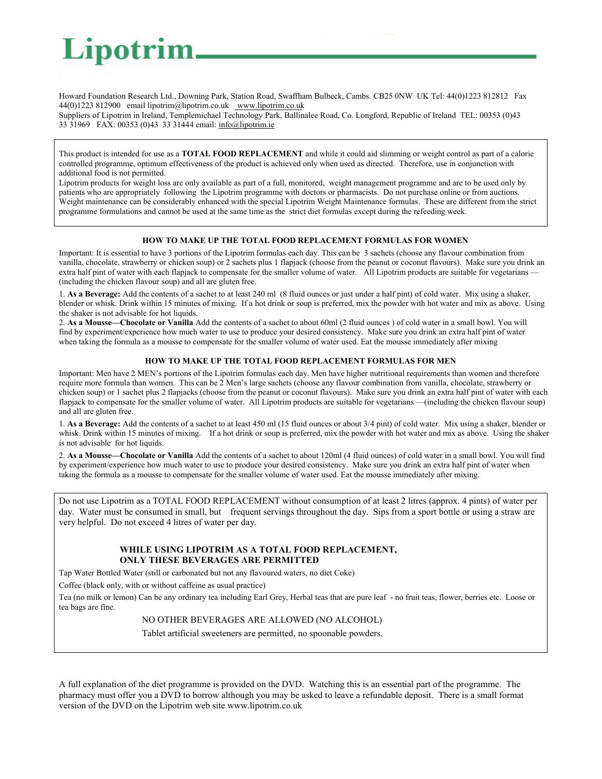# Lipotrin

Howard Foundation Research Ltd., Downing Park, Station Road, Swaffham Bulbeck, Cambs. CB25 0NW UK Tel: 44(0)1223 812812 Fax 44(0)1223 812900 email lipotrim@lipotrim.co.uk www.lipotrim.co.uk

Suppliers of Lipotrim in Ireland, Templemichael Technology Park, Ballinalee Road, Co. Longford, Republic of Ireland TEL: 00353 (0)43 33 31969 FAX: 00353 (0)43 33 31444 email: info@lipotrim.ie

This product is intended for use as a **TOTAL FOOD REPLACEMENT** and while it could aid slimming or weight control as part of a calorie controlled programme, optimum effectiveness of the product is achieved only when used as directed. Therefore, use in conjunction with additional food is not permitted.

Lipotrim products for weight loss are only available as part of a full, monitored, weight management programme and are to be used only by patients who are appropriately following the Lipotrim programme with doctors or pharmacists. Do not purchase online or from auctions. Weight maintenance can be considerably enhanced with the special Lipotrim Weight Maintenance formulas. These are different from the strict programme formulations and cannot be used at the same time as the strict diet formulas except during the refeeding week.

## **HOW TO MAKE UP THE TOTAL FOOD REPLACEMENT FORMULAS FOR WOMEN**

Important: It is essential to have 3 portions of the Lipotrim formulas each day. This can be 3 sachets (choose any flavour combination from vanilla, chocolate, strawberry or chicken soup) or 2 sachets plus 1 flapjack (choose from the peanut or coconut flavours). Make sure you drink an extra half pint of water with each flapjack to compensate for the smaller volume of water. All Lipotrim products are suitable for vegetarians – (including the chicken flavour soup) and all are gluten free.

1. **As a Beverage:** Add the contents of a sachet to at least 240 ml (8 fluid ounces or just under a half pint) of cold water. Mix using a shaker, blender or whisk. Drink within 15 minutes of mixing. If a hot drink or soup is preferred, mix the powder with hot water and mix as above. Using the shaker is not advisable for hot liquids.

2. **As a Mousse—Chocolate or Vanilla** Add the contents of a sachet to about 60ml (2 fluid ounces ) of cold water in a small bowl. You will find by experiment/experience how much water to use to produce your desired consistency. Make sure you drink an extra half pint of water when taking the formula as a mousse to compensate for the smaller volume of water used. Eat the mousse immediately after mixing

## **HOW TO MAKE UP THE TOTAL FOOD REPLACEMENT FORMULAS FOR MEN**

Important: Men have 2 MEN's portions of the Lipotrim formulas each day. Men have higher nutritional requirements than women and therefore require more formula than women. This can be 2 Men's large sachets (choose any flavour combination from vanilla, chocolate, strawberry or chicken soup) or 1 sachet plus 2 flapjacks (choose from the peanut or coconut flavours). Make sure you drink an extra half pint of water with each flapjack to compensate for the smaller volume of water. All Lipotrim products are suitable for vegetarians —(including the chicken flavour soup) and all are gluten free.

1. **As a Beverage:** Add the contents of a sachet to at least 450 ml (15 fluid ounces or about 3/4 pint) of cold water. Mix using a shaker, blender or whisk. Drink within 15 minutes of mixing. If a hot drink or soup is preferred, mix the powder with hot water and mix as above. Using the shaker is not advisable for hot liquids.

2. **As a Mousse—Chocolate or Vanilla** Add the contents of a sachet to about 120ml (4 fluid ounces) of cold water in a small bowl. You will find by experiment/experience how much water to use to produce your desired consistency. Make sure you drink an extra half pint of water when taking the formula as a mousse to compensate for the smaller volume of water used. Eat the mousse immediately after mixing.

Do not use Lipotrim as a TOTAL FOOD REPLACEMENT without consumption of at least 2 litres (approx. 4 pints) of water per day. Water must be consumed in small, but frequent servings throughout the day. Sips from a sport bottle or using a straw are very helpful. Do not exceed 4 litres of water per day.

# **WHILE USING LIPOTRIM AS A TOTAL FOOD REPLACEMENT, ONLY THESE BEVERAGES ARE PERMITTED**

Tap Water Bottled Water (still or carbonated but not any flavoured waters, no diet Coke)

Coffee (black only, with or without caffeine as usual practice)

Tea (no milk or lemon) Can be any ordinary tea including Earl Grey, Herbal teas that are pure leaf - no fruit teas, flower, berries etc. Loose or tea bags are fine.

# NO OTHER BEVERAGES ARE ALLOWED (NO ALCOHOL)

Tablet artificial sweeteners are permitted, no spoonable powders.

A full explanation of the diet programme is provided on the DVD. Watching this is an essential part of the programme. The pharmacy must offer you a DVD to borrow although you may be asked to leave a refundable deposit. There is a small format version of the DVD on the Lipotrim web site www.lipotrim.co.uk